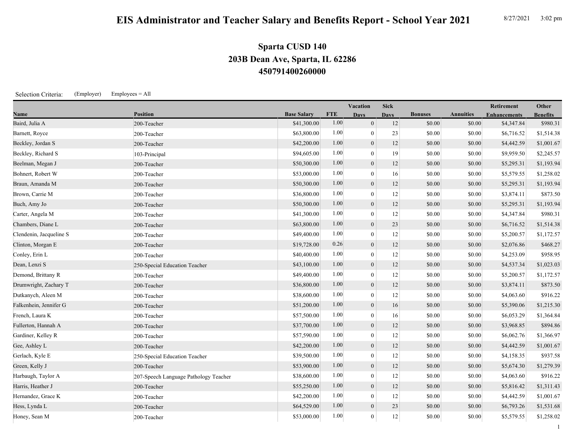## **EIS Administrator and Teacher Salary and Benefits Report - School Year 2021** 8/27/2021 3:02 pm

## **450791400260000 203B Dean Ave, Sparta, IL 62286 Sparta CUSD 140**

Selection Criteria: (Employer) Employees = All

| <b>Name</b>             | <b>Position</b>                       |                    | Vacation   |                | <b>Sick</b> |                |                  | Retirement          | Other           |
|-------------------------|---------------------------------------|--------------------|------------|----------------|-------------|----------------|------------------|---------------------|-----------------|
|                         |                                       | <b>Base Salary</b> | <b>FTE</b> | <b>Days</b>    | <b>Days</b> | <b>Bonuses</b> | <b>Annuities</b> | <b>Enhancements</b> | <b>Benefits</b> |
| Baird, Julia A          | 200-Teacher                           | \$41,300.00        | 1.00       | $\mathbf{0}$   | 12          | \$0.00         | \$0.00           | \$4,347.84          | \$980.31        |
| Barnett, Royce          | 200-Teacher                           | \$63,800.00        | 1.00       | $\mathbf{0}$   | 23          | \$0.00         | \$0.00           | \$6,716.52          | \$1,514.38      |
| Beckley, Jordan S       | 200-Teacher                           | \$42,200.00        | 1.00       | $\mathbf{0}$   | 12          | \$0.00         | \$0.00           | \$4,442.59          | \$1,001.67      |
| Beckley, Richard S      | 103-Principal                         | \$94,605.00        | 1.00       | $\mathbf{0}$   | 19          | \$0.00         | \$0.00           | \$9,959.50          | \$2,245.57      |
| Beelman, Megan J        | 200-Teacher                           | \$50,300.00        | 1.00       | $\overline{0}$ | 12          | \$0.00         | \$0.00           | \$5,295.31          | \$1,193.94      |
| Bohnert, Robert W       | 200-Teacher                           | \$53,000.00        | 1.00       | $\theta$       | 16          | \$0.00         | \$0.00           | \$5,579.55          | \$1,258.02      |
| Braun, Amanda M         | 200-Teacher                           | \$50,300.00        | 1.00       | $\mathbf{0}$   | 12          | \$0.00         | \$0.00           | \$5,295.31          | \$1,193.94      |
| Brown, Carrie M         | 200-Teacher                           | \$36,800.00        | 1.00       | $\theta$       | 12          | \$0.00         | \$0.00           | \$3,874.11          | \$873.50        |
| Buch, Amy Jo            | 200-Teacher                           | \$50,300.00        | 1.00       | $\mathbf{0}$   | 12          | \$0.00         | \$0.00           | \$5,295.31          | \$1,193.94      |
| Carter, Angela M        | 200-Teacher                           | \$41,300.00        | 1.00       | $\mathbf{0}$   | 12          | \$0.00         | \$0.00           | \$4,347.84          | \$980.31        |
| Chambers, Diane L       | 200-Teacher                           | \$63,800.00        | 1.00       | $\overline{0}$ | 23          | \$0.00         | \$0.00           | \$6,716.52          | \$1,514.38      |
| Clendenin, Jacqueline S | 200-Teacher                           | \$49,400.00        | 1.00       | $\Omega$       | 12          | \$0.00         | \$0.00           | \$5,200.57          | \$1,172.57      |
| Clinton, Morgan E       | 200-Teacher                           | \$19,728.00        | 0.26       | $\mathbf{0}$   | 12          | \$0.00         | \$0.00           | \$2,076.86          | \$468.27        |
| Conley, Erin L          | 200-Teacher                           | \$40,400.00        | 1.00       | $\theta$       | 12          | \$0.00         | \$0.00           | \$4,253.09          | \$958.95        |
| Dean, Lenzi S           | 250-Special Education Teacher         | \$43,100.00        | 1.00       | $\mathbf{0}$   | 12          | \$0.00         | \$0.00           | \$4,537.34          | \$1,023.03      |
| Demond, Brittany R      | 200-Teacher                           | \$49,400.00        | 1.00       | $\theta$       | 12          | \$0.00         | \$0.00           | \$5,200.57          | \$1,172.57      |
| Drumwright, Zachary T   | 200-Teacher                           | \$36,800.00        | 1.00       | $\mathbf{0}$   | 12          | \$0.00         | \$0.00           | \$3,874.11          | \$873.50        |
| Dutkanych, Aleen M      | 200-Teacher                           | \$38,600.00        | 1.00       | $\theta$       | 12          | \$0.00         | \$0.00           | \$4,063.60          | \$916.22        |
| Falkenhein, Jennifer G  | 200-Teacher                           | \$51,200.00        | 1.00       | $\mathbf{0}$   | 16          | \$0.00         | \$0.00           | \$5,390.06          | \$1,215.30      |
| French, Laura K         | 200-Teacher                           | \$57,500.00        | 1.00       | $\theta$       | 16          | \$0.00         | \$0.00           | \$6,053.29          | \$1,364.84      |
| Fullerton, Hannah A     | 200-Teacher                           | \$37,700.00        | 1.00       | $\mathbf{0}$   | 12          | \$0.00         | \$0.00           | \$3,968.85          | \$894.86        |
| Gardiner, Kelley R      | 200-Teacher                           | \$57,590.00        | 1.00       | $\mathbf{0}$   | 12          | \$0.00         | \$0.00           | \$6,062.76          | \$1,366.97      |
| Gee, Ashley L           | 200-Teacher                           | \$42,200.00        | 1.00       | $\mathbf{0}$   | 12          | \$0.00         | \$0.00           | \$4,442.59          | \$1,001.67      |
| Gerlach, Kyle E         | 250-Special Education Teacher         | \$39,500.00        | 1.00       | $\overline{0}$ | 12          | \$0.00         | \$0.00           | \$4,158.35          | \$937.58        |
| Green, Kelly J          | 200-Teacher                           | \$53,900.00        | 1.00       | $\mathbf{0}$   | 12          | \$0.00         | \$0.00           | \$5,674.30          | \$1,279.39      |
| Harbaugh, Taylor A      | 207-Speech Language Pathology Teacher | \$38,600.00        | 1.00       |                | 12          | \$0.00         | \$0.00           | \$4,063.60          | \$916.22        |
| Harris, Heather J       | 200-Teacher                           | \$55,250.00        | 1.00       | $\theta$       | 12          | \$0.00         | \$0.00           | \$5,816.42          | \$1,311.43      |

Hernandez, Grace K 200-Teacher 200-Teacher 200-Teacher 1.00 \$42,200.00 1.00 0 12 \$0.00 \$0.00 \$4,442.59 \$1,001.67 Hess, Lynda L 200-Teacher \$64,529.00 1.00 0 23 \$0.00 \$0.00 \$6,793.26 \$1,531.68 Honey, Sean M 200-Teacher 200-Teacher 200-Teacher 353,000.00 1.00 0 12 \$0.00 \$0.00 \$5,579.55 \$1,258.02

1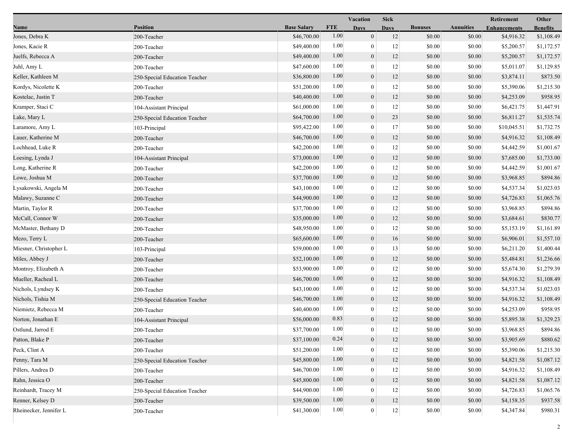|                        |                               |                    |            | Vacation         | <b>Sick</b> |                |                  | Retirement          | Other           |
|------------------------|-------------------------------|--------------------|------------|------------------|-------------|----------------|------------------|---------------------|-----------------|
| Name                   | <b>Position</b>               | <b>Base Salary</b> | <b>FTE</b> | <b>Days</b>      | <b>Davs</b> | <b>Bonuses</b> | <b>Annuities</b> | <b>Enhancements</b> | <b>Benefits</b> |
| Jones, Debra K         | 200-Teacher                   | \$46,700.00        | 1.00       | $\boldsymbol{0}$ | 12          | \$0.00         | \$0.00           | \$4,916.32          | \$1,108.49      |
| Jones, Kacie R         | 200-Teacher                   | \$49,400.00        | 1.00       | $\mathbf{0}$     | 12          | \$0.00         | \$0.00           | \$5,200.57          | \$1,172.57      |
| Juelfs, Rebecca A      | 200-Teacher                   | \$49,400.00        | 1.00       | $\boldsymbol{0}$ | 12          | \$0.00         | \$0.00           | \$5,200.57          | \$1,172.57      |
| Juhl, Amy L            | 200-Teacher                   | \$47,600.00        | 1.00       | $\mathbf{0}$     | 12          | \$0.00         | \$0.00           | \$5,011.07          | \$1,129.85      |
| Keller, Kathleen M     | 250-Special Education Teacher | \$36,800.00        | 1.00       | $\mathbf{0}$     | 12          | \$0.00         | \$0.00           | \$3,874.11          | \$873.50        |
| Kordys, Nicolette K    | 200-Teacher                   | \$51,200.00        | 1.00       | $\mathbf{0}$     | 12          | \$0.00         | \$0.00           | \$5,390.06          | \$1,215.30      |
| Kostelac, Justin T     | 200-Teacher                   | \$40,400.00        | 1.00       | $\mathbf{0}$     | 12          | \$0.00         | \$0.00           | \$4,253.09          | \$958.95        |
| Kramper, Staci C       | 104-Assistant Principal       | \$61,000.00        | 1.00       | $\mathbf{0}$     | 12          | \$0.00         | \$0.00           | \$6,421.75          | \$1,447.91      |
| Lake, Mary L           | 250-Special Education Teacher | \$64,700.00        | 1.00       | $\boldsymbol{0}$ | 23          | \$0.00         | \$0.00           | \$6,811.27          | \$1,535.74      |
| Laramore, Amy L        | 103-Principal                 | \$95,422.00        | 1.00       | $\theta$         | 17          | \$0.00         | \$0.00           | \$10,045.51         | \$1,732.75      |
| Lauer, Katherine M     | 200-Teacher                   | \$46,700.00        | 1.00       | $\mathbf{0}$     | 12          | \$0.00         | \$0.00           | \$4,916.32          | \$1,108.49      |
| Lochhead, Luke R       | 200-Teacher                   | \$42,200.00        | 1.00       | $\mathbf{0}$     | 12          | \$0.00         | \$0.00           | \$4,442.59          | \$1,001.67      |
| Loesing, Lynda J       | 104-Assistant Principal       | \$73,000.00        | 1.00       | $\mathbf{0}$     | 12          | \$0.00         | \$0.00           | \$7,685.00          | \$1,733.00      |
| Long, Katherine R      | 200-Teacher                   | \$42,200.00        | 1.00       | $\mathbf{0}$     | 12          | \$0.00         | \$0.00           | \$4,442.59          | \$1,001.67      |
| Lowe, Joshua M         | 200-Teacher                   | \$37,700.00        | 1.00       | $\boldsymbol{0}$ | 12          | \$0.00         | \$0.00           | \$3,968.85          | \$894.86        |
| Lysakowski, Angela M   | 200-Teacher                   | \$43,100.00        | 1.00       | $\mathbf{0}$     | 12          | \$0.00         | \$0.00           | \$4,537.34          | \$1,023.03      |
| Malawy, Suzanne C      | 200-Teacher                   | \$44,900.00        | 1.00       | $\mathbf{0}$     | 12          | \$0.00         | \$0.00           | \$4,726.83          | \$1,065.76      |
| Martin, Taylor R       | 200-Teacher                   | \$37,700.00        | 1.00       | $\mathbf{0}$     | 12          | \$0.00         | \$0.00           | \$3,968.85          | \$894.86        |
| McCall, Connor W       | 200-Teacher                   | \$35,000.00        | 1.00       | $\mathbf{0}$     | 12          | \$0.00         | \$0.00           | \$3,684.61          | \$830.77        |
| McMaster, Bethany D    | 200-Teacher                   | \$48,950.00        | 1.00       | $\mathbf{0}$     | 12          | \$0.00         | \$0.00           | \$5,153.19          | \$1,161.89      |
| Mezo, Terry L          | 200-Teacher                   | \$65,600.00        | 1.00       | $\boldsymbol{0}$ | 16          | \$0.00         | \$0.00           | \$6,906.01          | \$1,557.10      |
| Miesner, Christopher L | 103-Principal                 | \$59,000.00        | 1.00       | $\mathbf{0}$     | 13          | \$0.00         | \$0.00           | \$6,211.20          | \$1,400.44      |
| Miles, Abbey J         | 200-Teacher                   | \$52,100.00        | 1.00       | $\boldsymbol{0}$ | 12          | \$0.00         | \$0.00           | \$5,484.81          | \$1,236.66      |
| Montroy, Elizabeth A   | 200-Teacher                   | \$53,900.00        | 1.00       | $\boldsymbol{0}$ | 12          | \$0.00         | \$0.00           | \$5,674.30          | \$1,279.39      |
| Mueller, Racheal L     | 200-Teacher                   | \$46,700.00        | 1.00       | $\mathbf{0}$     | 12          | \$0.00         | \$0.00           | \$4,916.32          | \$1,108.49      |
| Nichols, Lyndsey K     | 200-Teacher                   | \$43,100.00        | 1.00       | $\theta$         | 12          | \$0.00         | \$0.00           | \$4,537.34          | \$1,023.03      |
| Nichols, Tishia M      | 250-Special Education Teacher | \$46,700.00        | 1.00       | $\mathbf{0}$     | 12          | \$0.00         | \$0.00           | \$4,916.32          | \$1,108.49      |
| Niemietz, Rebecca M    | 200-Teacher                   | \$40,400.00        | 1.00       | $\mathbf{0}$     | 12          | \$0.00         | \$0.00           | \$4,253.09          | \$958.95        |
| Norton, Jonathan E     | 104-Assistant Principal       | \$56,000.00        | 0.83       | $\mathbf{0}$     | 12          | \$0.00         | \$0.00           | \$5,895.38          | \$1,329.23      |
| Ostlund, Jarrod E      | 200-Teacher                   | \$37,700.00        | 1.00       | $\overline{0}$   | 12          | \$0.00         | \$0.00           | \$3,968.85          | \$894.86        |
| Patton, Blake P        | 200-Teacher                   | \$37,100.00        | 0.24       | $\theta$         | 12          | \$0.00         | \$0.00           | \$3,905.69          | \$880.62        |
| Peck, Clint A          | 200-Teacher                   | \$51,200.00        | 1.00       | $\theta$         | 12          | \$0.00         | \$0.00           | \$5,390.06          | \$1,215.30      |
| Penny, Tara M          | 250-Special Education Teacher | \$45,800.00        | 1.00       | $\mathbf{0}$     | 12          | \$0.00         | \$0.00           | \$4,821.58          | \$1,087.12      |
| Pillers, Andrea D      | 200-Teacher                   | \$46,700.00        | 1.00       | $\theta$         | 12          | \$0.00         | \$0.00           | \$4,916.32          | \$1,108.49      |
| Rahn, Jessica O        | 200-Teacher                   | \$45,800.00        | 1.00       | $\mathbf{0}$     | 12          | \$0.00         | \$0.00           | \$4,821.58          | \$1,087.12      |
| Reinhardt, Tracey M    | 250-Special Education Teacher | \$44,900.00        | 1.00       | $\overline{0}$   | 12          | \$0.00         | \$0.00           | \$4,726.83          | \$1,065.76      |
| Renner, Kelsey D       | 200-Teacher                   | \$39,500.00        | 1.00       | $\boldsymbol{0}$ | 12          | \$0.00         | \$0.00           | \$4,158.35          | \$937.58        |
| Rheinecker, Jennifer L | 200-Teacher                   | \$41,300.00        | $1.00\,$   | $\mathbf{0}$     | 12          | \$0.00         | \$0.00           | \$4,347.84          | \$980.31        |